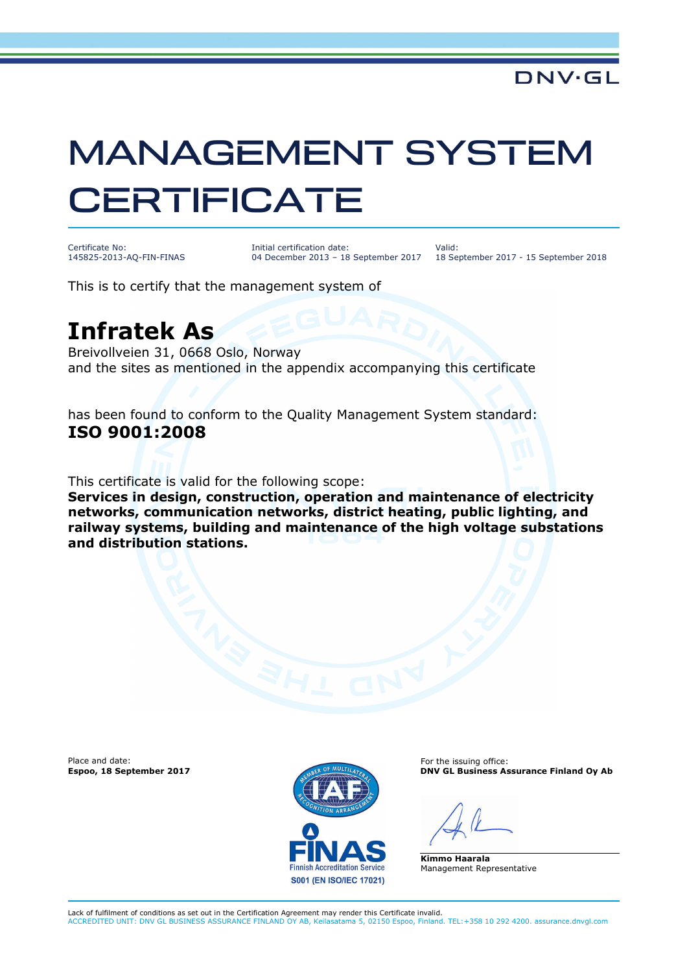## MANAGEMENT SYSTEM **CERTIFICATE**

Certificate No: 145825-2013-AQ-FIN-FINAS Initial certification date: 04 December 2013 – 18 September 2017

Valid: 18 September 2017 - 15 September 2018

This is to certify that the management system of

## **Infratek As**

Breivollveien 31, 0668 Oslo, Norway and the sites as mentioned in the appendix accompanying this certificate

has been found to conform to the Quality Management System standard: **ISO 9001:2008**

This certificate is valid for the following scope:

**Services in design, construction, operation and maintenance of electricity networks, communication networks, district heating, public lighting, and railway systems, building and maintenance of the high voltage substations and distribution stations.** 

Place and date:



For the issuing office: **Espoo, 18 September 2017 DNV GL Business Assurance Finland Oy Ab** 

**Kimmo Haarala** Management Representative

Lack of fulfilment of conditions as set out in the Certification Agreement may render this Certificate invalid. ACCREDITED UNIT: DNV GL BUSINESS ASSURANCE FINLAND OY AB, Keilasatama 5, 02150 Espoo, Finland. TEL:+358 10 292 4200. assurance.dnvgl.com